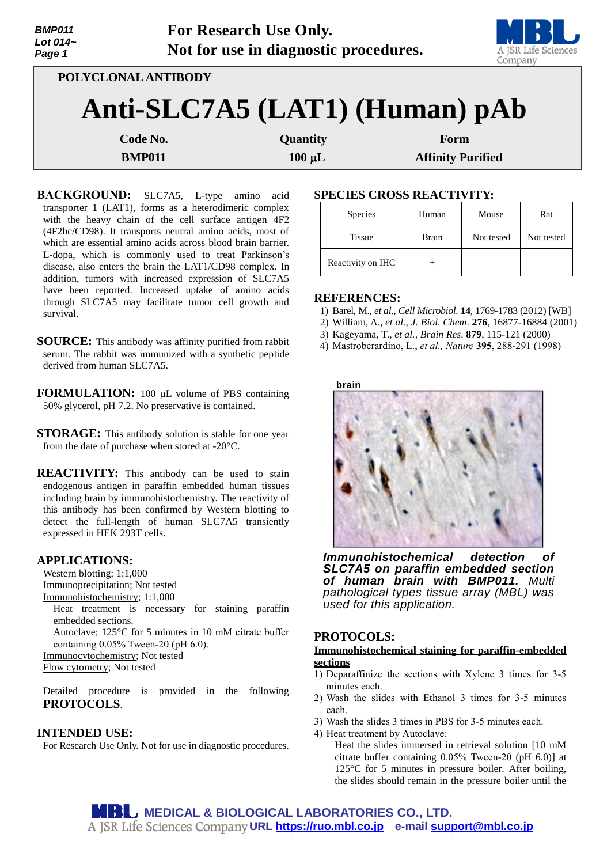| <b>BMP011</b><br>Lot 014~<br>Page 1 |                     | For Research Use Only.<br>Not for use in diagnostic procedures. | A JSR Life Sciences<br>Company |  |
|-------------------------------------|---------------------|-----------------------------------------------------------------|--------------------------------|--|
|                                     | POLYCLONAL ANTIBODY |                                                                 |                                |  |
|                                     |                     |                                                                 | Anti-SLC7A5 (LAT1) (Human) pAb |  |
| Code No.                            |                     | Quantity                                                        | Form                           |  |
| <b>BMP011</b>                       |                     | $100 \mu L$                                                     | <b>Affinity Purified</b>       |  |

**BACKGROUND:** SLC7A5, L-type amino acid transporter 1 (LAT1), forms as a heterodimeric complex with the heavy chain of the cell surface antigen 4F2 (4F2hc/CD98). It transports neutral amino acids, most of which are essential amino acids across blood brain barrier. L-dopa, which is commonly used to treat Parkinson's disease, also enters the brain the LAT1/CD98 complex. In addition, tumors with increased expression of SLC7A5 have been reported. Increased uptake of amino acids through SLC7A5 may facilitate tumor cell growth and survival.

**SOURCE:** This antibody was affinity purified from rabbit serum. The rabbit was immunized with a synthetic peptide derived from human SLC7A5.

**FORMULATION:** 100 µL volume of PBS containing 50% glycerol, pH 7.2. No preservative is contained.

**STORAGE:** This antibody solution is stable for one year from the date of purchase when stored at -20°C.

**REACTIVITY:** This antibody can be used to stain endogenous antigen in paraffin embedded human tissues including brain by immunohistochemistry. The reactivity of this antibody has been confirmed by Western blotting to detect the full-length of human SLC7A5 transiently expressed in HEK 293T cells.

## **APPLICATIONS:**

Western blotting; 1:1,000 Immunoprecipitation; Not tested Immunohistochemistry; 1:1,000 Heat treatment is necessary for staining paraffin embedded sections. Autoclave; 125°C for 5 minutes in 10 mM citrate buffer containing 0.05% Tween-20 (pH 6.0). Immunocytochemistry; Not tested Flow cytometry; Not tested

Detailed procedure is provided in the following **PROTOCOLS**.

#### **INTENDED USE:**

For Research Use Only. Not for use in diagnostic procedures.

# **SPECIES CROSS REACTIVITY:**

| <b>Species</b>    | Human | Mouse      | Rat        |
|-------------------|-------|------------|------------|
| <b>Tissue</b>     | Brain | Not tested | Not tested |
| Reactivity on IHC |       |            |            |

#### **REFERENCES:**

- 1) Barel, M., *et al.*, *Cell Microbiol*. **14**, 1769-1783 (2012) [WB]
- 2) William, A., *et al., J. Biol. Chem*. **276**, 16877-16884 (2001)
- 3) Kageyama, T., *et al., Brain Res*. **879**, 115-121 (2000)

4) Mastroberardino, L., *et al., Nature* **395**, 288-291 (1998)

**brain**

*Immunohistochemical detection of SLC7A5 on paraffin embedded section of human brain with BMP011. Multi pathological types tissue array (MBL) was used for this application.*

### **PROTOCOLS:**

#### **Immunohistochemical staining for paraffin-embedded sections**

- 1) Deparaffinize the sections with Xylene 3 times for 3-5 minutes each.
- 2) Wash the slides with Ethanol 3 times for 3-5 minutes each.
- 3) Wash the slides 3 times in PBS for 3-5 minutes each.
- 4) Heat treatment by Autoclave:

Heat the slides immersed in retrieval solution [10 mM citrate buffer containing 0.05% Tween-20 (pH 6.0)] at 125°C for 5 minutes in pressure boiler. After boiling, the slides should remain in the pressure boiler until the

**MEDICAL & BIOLOGICAL LABORATORIES CO., LTD. URL [https://ruo.mbl.co.jp](https://ruo.mbl.co.jp/) e-mail [support@mbl.co.jp](mailto:support@mbl.co.jp)**